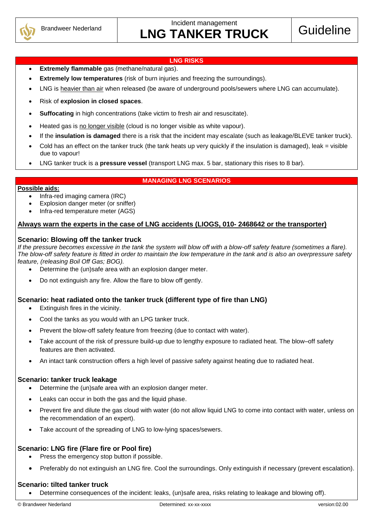

#### **LNG RISKS**

- **Extremely flammable** gas (methane/natural gas).
- **Extremely low temperatures** (risk of burn injuries and freezing the surroundings).
- LNG is heavier than air when released (be aware of underground pools/sewers where LNG can accumulate).
- Risk of **explosion in closed spaces**.
- **Suffocating** in high concentrations (take victim to fresh air and resuscitate).
- Heated gas is no longer visible (cloud is no longer visible as white vapour).
- If the **insulation is damaged** there is a risk that the incident may escalate (such as leakage/BLEVE tanker truck).
- Cold has an effect on the tanker truck (the tank heats up very quickly if the insulation is damaged), leak = visible due to vapour!
- LNG tanker truck is a **pressure vessel** (transport LNG max. 5 bar, stationary this rises to 8 bar).

#### **MANAGING LNG SCENARIOS**

#### **Possible aids:**

- Infra-red imaging camera (IRC)
- Explosion danger meter (or sniffer)
- Infra-red temperature meter (AGS)

## **Always warn the experts in the case of LNG accidents (LIOGS, 010- 2468642 or the transporter)**

#### **Scenario: Blowing off the tanker truck**

*If the pressure becomes excessive in the tank the system will blow off with a blow-off safety feature (sometimes a flare). The blow-off safety feature is fitted in order to maintain the low temperature in the tank and is also an overpressure safety feature, (releasing Boil Off Gas; BOG).*

- Determine the (un)safe area with an explosion danger meter.
- Do not extinguish any fire. Allow the flare to blow off gently.

## **Scenario: heat radiated onto the tanker truck (different type of fire than LNG)**

- Extinguish fires in the vicinity.
- Cool the tanks as you would with an LPG tanker truck.
- Prevent the blow-off safety feature from freezing (due to contact with water).
- Take account of the risk of pressure build-up due to lengthy exposure to radiated heat. The blow–off safety features are then activated.
- An intact tank construction offers a high level of passive safety against heating due to radiated heat.

## **Scenario: tanker truck leakage**

- Determine the (un)safe area with an explosion danger meter.
- Leaks can occur in both the gas and the liquid phase.
- Prevent fire and dilute the gas cloud with water (do not allow liquid LNG to come into contact with water, unless on the recommendation of an expert).
- Take account of the spreading of LNG to low-lying spaces/sewers.

## **Scenario: LNG fire (Flare fire or Pool fire)**

- Press the emergency stop button if possible.
- Preferably do not extinguish an LNG fire. Cool the surroundings. Only extinguish if necessary (prevent escalation).

## **Scenario: tilted tanker truck**

Determine consequences of the incident: leaks, (un)safe area, risks relating to leakage and blowing off).